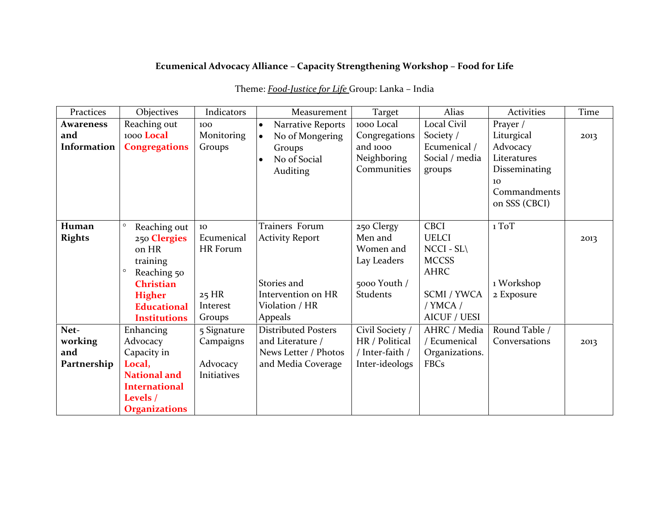## **Ecumenical Advocacy Alliance – Capacity Strengthening Workshop – Food for Life**

| Practices                             | Objectives                                                                                                                                                               | Indicators                                                    | Measurement                                                                                                | Target                                                                               | Alias                                                                                                                                | Activities                                                                                    | Time |
|---------------------------------------|--------------------------------------------------------------------------------------------------------------------------------------------------------------------------|---------------------------------------------------------------|------------------------------------------------------------------------------------------------------------|--------------------------------------------------------------------------------------|--------------------------------------------------------------------------------------------------------------------------------------|-----------------------------------------------------------------------------------------------|------|
| <b>Awareness</b>                      | Reaching out                                                                                                                                                             | 100                                                           | Narrative Reports<br>$\bullet$                                                                             | 1000 Local                                                                           | Local Civil                                                                                                                          | Prayer /                                                                                      |      |
| and<br>Information                    | 1000 Local<br><b>Congregations</b>                                                                                                                                       | Monitoring<br>Groups                                          | No of Mongering<br>$\bullet$<br>Groups<br>No of Social<br>Auditing                                         | Congregations<br>and 1000<br>Neighboring<br>Communities                              | Society /<br>Ecumenical /<br>Social / media<br>groups                                                                                | Liturgical<br>Advocacy<br>Literatures<br>Disseminating<br>10<br>Commandments<br>on SSS (CBCI) | 2013 |
| Human<br><b>Rights</b>                | $\circ$<br>Reaching out<br>250 Clergies<br>on HR<br>training<br>$\circ$<br>Reaching 50<br><b>Christian</b><br><b>Higher</b><br><b>Educational</b><br><b>Institutions</b> | 10<br>Ecumenical<br>HR Forum<br>$25$ HR<br>Interest<br>Groups | Trainers Forum<br><b>Activity Report</b><br>Stories and<br>Intervention on HR<br>Violation / HR<br>Appeals | 250 Clergy<br>Men and<br>Women and<br>Lay Leaders<br>5000 Youth /<br><b>Students</b> | CBCI<br><b>UELCI</b><br>$NCCI - SL\setminus$<br><b>MCCSS</b><br><b>AHRC</b><br><b>SCMI / YWCA</b><br>/ YMCA /<br><b>AICUF / UESI</b> | 1 ToT<br>1 Workshop<br>2 Exposure                                                             | 2013 |
| Net-<br>working<br>and<br>Partnership | Enhancing<br>Advocacy<br>Capacity in<br>Local,<br><b>National and</b><br><b>International</b><br>Levels /<br><b>Organizations</b>                                        | 5 Signature<br>Campaigns<br>Advocacy<br>Initiatives           | <b>Distributed Posters</b><br>and Literature /<br>News Letter / Photos<br>and Media Coverage               | Civil Society /<br>HR / Political<br>/ Inter-faith /<br>Inter-ideologs               | AHRC / Media<br>/ Ecumenical<br>Organizations.<br><b>FBCs</b>                                                                        | Round Table /<br>Conversations                                                                | 2013 |

## Theme: *Food-Justice for Life* Group: Lanka – India